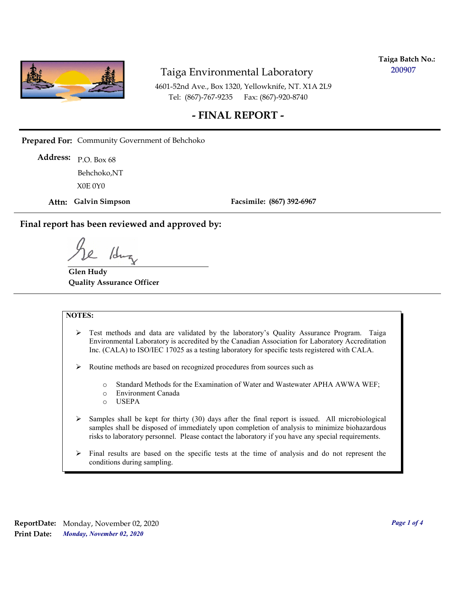

**Taiga Batch No.: 200907**

4601-52nd Ave., Box 1320, Yellowknife, NT. X1A 2L9 Tel: (867)-767-9235 Fax: (867)-920-8740

#### **- FINAL REPORT -**

**Prepared For:** Community Government of Behchoko

P.O. Box 68 **Address:** X0E 0Y0 Behchoko,NT

**Attn: Galvin Simpson**

**Facsimile: (867) 392-6967**

**Final report has been reviewed and approved by:**

1dr

**Glen Hudy Quality Assurance Officer**

#### **NOTES:**

- $\triangleright$  Test methods and data are validated by the laboratory's Quality Assurance Program. Taiga Environmental Laboratory is accredited by the Canadian Association for Laboratory Accreditation Inc. (CALA) to ISO/IEC 17025 as a testing laboratory for specific tests registered with CALA.
- Routine methods are based on recognized procedures from sources such as
	- o Standard Methods for the Examination of Water and Wastewater APHA AWWA WEF;
	- o Environment Canada
	- o USEPA
- $\triangleright$  Samples shall be kept for thirty (30) days after the final report is issued. All microbiological samples shall be disposed of immediately upon completion of analysis to minimize biohazardous risks to laboratory personnel. Please contact the laboratory if you have any special requirements.
- $\triangleright$  Final results are based on the specific tests at the time of analysis and do not represent the conditions during sampling.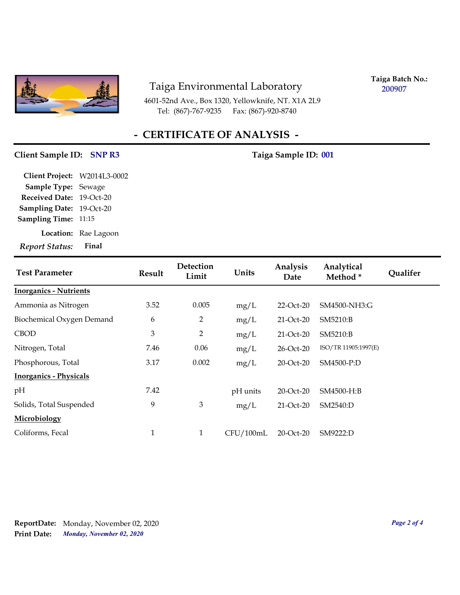

4601-52nd Ave., Box 1320, Yellowknife, NT. X1A 2L9 Tel: (867)-767-9235

**Taiga Batch No.: 200907**

# **- CERTIFICATE OF ANALYSIS -**

#### **Client Sample ID:** SNP R3 Taiga Sample ID: 001

| <b>Report Status:</b>        | Final                |
|------------------------------|----------------------|
|                              | Location: Rae Lagoon |
| <b>Sampling Time: 11:15</b>  |                      |
| <b>Sampling Date:</b>        | 19-Oct-20            |
| Received Date: 19-Oct-20     |                      |
| Sample Type: Sewage          |                      |
| Client Project: W2014L3-0002 |                      |

| <b>Test Parameter</b>         | <b>Result</b> | Detection<br>Limit | Units     | Analysis<br>Date | Analytical<br>Method* | <b>Qualifer</b> |
|-------------------------------|---------------|--------------------|-----------|------------------|-----------------------|-----------------|
| <b>Inorganics - Nutrients</b> |               |                    |           |                  |                       |                 |
| Ammonia as Nitrogen           | 3.52          | 0.005              | mg/L      | $22$ -Oct- $20$  | SM4500-NH3:G          |                 |
| Biochemical Oxygen Demand     | 6             | 2                  | mg/L      | 21-Oct-20        | SM5210:B              |                 |
| <b>CBOD</b>                   | 3             | $\overline{2}$     | mg/L      | 21-Oct-20        | SM5210:B              |                 |
| Nitrogen, Total               | 7.46          | 0.06               | mg/L      | 26-Oct-20        | ISO/TR 11905:1997(E)  |                 |
| Phosphorous, Total            | 3.17          | 0.002              | mg/L      | 20-Oct-20        | SM4500-P:D            |                 |
| <b>Inorganics - Physicals</b> |               |                    |           |                  |                       |                 |
| pH                            | 7.42          |                    | pH units  | 20-Oct-20        | SM4500-H:B            |                 |
| Solids, Total Suspended       | 9             | $\mathfrak{Z}$     | mg/L      | $21-Oct-20$      | SM2540:D              |                 |
| Microbiology                  |               |                    |           |                  |                       |                 |
| Coliforms, Fecal              | 1             | $\mathbf{1}$       | CFU/100mL | 20-Oct-20        | SM9222:D              |                 |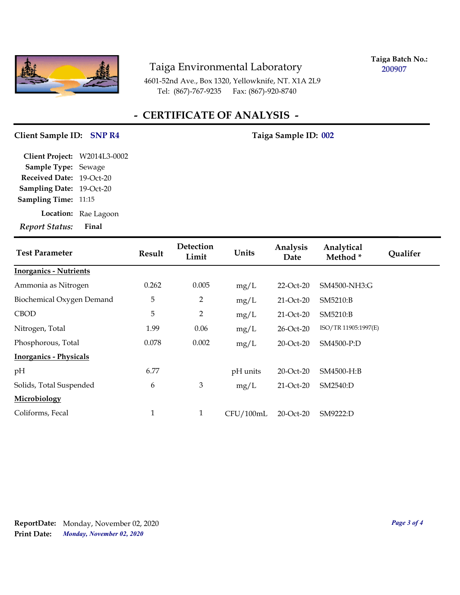

**Taiga Batch No.: 200907**

4601-52nd Ave., Box 1320, Yellowknife, NT. X1A 2L9 Tel: (867)-767-9235 Fax: (867)-920-8740

# **- CERTIFICATE OF ANALYSIS -**

#### Client Sample ID: SNP R4 Taiga Sample ID: 002

| <b>Report Status:</b>        | Final                |
|------------------------------|----------------------|
|                              | Location: Rae Lagoon |
| <b>Sampling Time: 11:15</b>  |                      |
| Sampling Date: 19-Oct-20     |                      |
| Received Date: 19-Oct-20     |                      |
| <b>Sample Type: Sewage</b>   |                      |
| Client Project: W2014L3-0002 |                      |

| <b>Test Parameter</b>         | Result | <b>Detection</b><br>Limit | Units     | Analysis<br>Date | Analytical<br>Method* | <b>Qualifer</b> |
|-------------------------------|--------|---------------------------|-----------|------------------|-----------------------|-----------------|
| <b>Inorganics - Nutrients</b> |        |                           |           |                  |                       |                 |
| Ammonia as Nitrogen           | 0.262  | 0.005                     | mg/L      | $22$ -Oct- $20$  | SM4500-NH3:G          |                 |
| Biochemical Oxygen Demand     | 5      | $\overline{2}$            | mg/L      | $21-Oct-20$      | SM5210:B              |                 |
| <b>CBOD</b>                   | 5      | $\overline{2}$            | mg/L      | $21-Oct-20$      | SM5210:B              |                 |
| Nitrogen, Total               | 1.99   | 0.06                      | mg/L      | 26-Oct-20        | ISO/TR 11905:1997(E)  |                 |
| Phosphorous, Total            | 0.078  | 0.002                     | mg/L      | $20$ -Oct- $20$  | SM4500-P:D            |                 |
| <b>Inorganics - Physicals</b> |        |                           |           |                  |                       |                 |
| pH                            | 6.77   |                           | pH units  | 20-Oct-20        | SM4500-H:B            |                 |
| Solids, Total Suspended       | 6      | 3                         | mg/L      | $21-Oct-20$      | SM2540:D              |                 |
| Microbiology                  |        |                           |           |                  |                       |                 |
| Coliforms, Fecal              | 1      | $\mathbf{1}$              | CFU/100mL | 20-Oct-20        | SM9222:D              |                 |